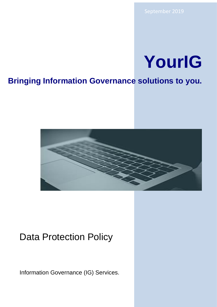# **YourIG**

# **Bringing Information Governance solutions to you.**



# Data Protection Policy

Information Governance (IG) Services.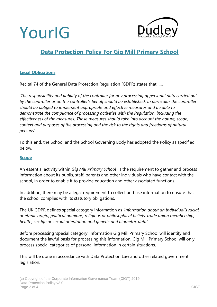



# **Data Protection Policy For Gig Mill Primary School**

#### **Legal Obligations**

Recital 74 of the General Data Protection Regulation (GDPR) states that……

'*The responsibility and liability of the controller for any processing of personal data carried out by the controller or on the controller's behalf should be established. In particular the controller should be obliged to implement appropriate and effective measures and be able to demonstrate the compliance of processing activities with the Regulation, including the effectiveness of the measures. Those measures should take into account the nature, scope, context and purposes of the processing and the risk to the rights and freedoms of natural persons'*

To this end, the School and the School Governing Body has adopted the Policy as specified below.

#### **Scope**

An essential activity within *Gig Mill Primary School* is the requirement to gather and process information about its pupils, staff, parents and other individuals who have contact with the school, in order to enable it to provide education and other associated functions.

In addition, there may be a legal requirement to collect and use information to ensure that the school complies with its statutory obligations.

The UK GDPR defines special category information as *'information about an individual's racial or ethnic origin, political opinions, religious or philosophical beliefs, trade union membership, health, sex life or sexual orientation and genetic and biometric data'*.

Before processing 'special category' information Gig Mill Primary School will identify and document the lawful basis for processing this information. Gig Mill Primary School will only process special categories of personal information in certain situations.

This will be done in accordance with Data Protection Law and other related government legislation.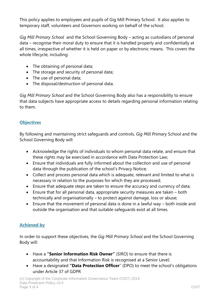This policy applies to employees and pupils of Gig Mill Primary School. It also applies to temporary staff, volunteers and Governors working on behalf of the school.

*Gig Mill Primary School* and the School Governing Body – acting as custodians of personal data – recognise their moral duty to ensure that it is handled properly and confidentially at all times, irrespective of whether it is held on paper or by electronic means. This covers the whole lifecycle, including:

- The obtaining of personal data;
- The storage and security of personal data;
- The use of personal data;
- The disposal/destruction of personal data.

*Gig Mill Primary School* and the School Governing Body also has a responsibility to ensure that data subjects have appropriate access to details regarding personal information relating to them.

# **Objectives**

By following and maintaining strict safeguards and controls, *Gig Mill Primary* School and the School Governing Body will:

- Acknowledge the rights of individuals to whom personal data relate, and ensure that these rights may be exercised in accordance with Data Protection Law;
- Ensure that individuals are fully informed about the collection and use of personal data through the publication of the school's Privacy Notice;
- Collect and process personal data which is adequate, relevant and limited to what is necessary in relation to the purposes for which they are processed;
- Ensure that adequate steps are taken to ensure the accuracy and currency of data;
- Ensure that for all personal data, appropriate security measures are taken both technically and organisationally – to protect against damage, loss or abuse;
- Ensure that the movement of personal data is done in a lawful way both inside and outside the organisation and that suitable safeguards exist at all times.

# **Achieved by**

In order to support these objectives, the *Gig Mill Primary School* and the School Governing Body will:

- Have a **"Senior Information Risk Owner"** (SIRO) to ensure that there is accountability and that Information Risk is recognised at a Senior Level;
- Have a designated **"Data Protection Officer**" (DPO) to meet the school's obligations under Article 37 of GDPR

(c) Copyright of the Corporate Information Governance Team (CIGT) 2019 Data Protection Policy v3.0 Page 3 of 4 CIGT CONTROL CONTROL CONTROL CONTROL CONTROL CONTROL CONTROL CONTROL CONTROL CONTROL CONTROL CONTROL CONTROL CONTROL CONTROL CONTROL CONTROL CONTROL CONTROL CONTROL CONTROL CONTROL CONTROL CONTROL CONTROL CONTR